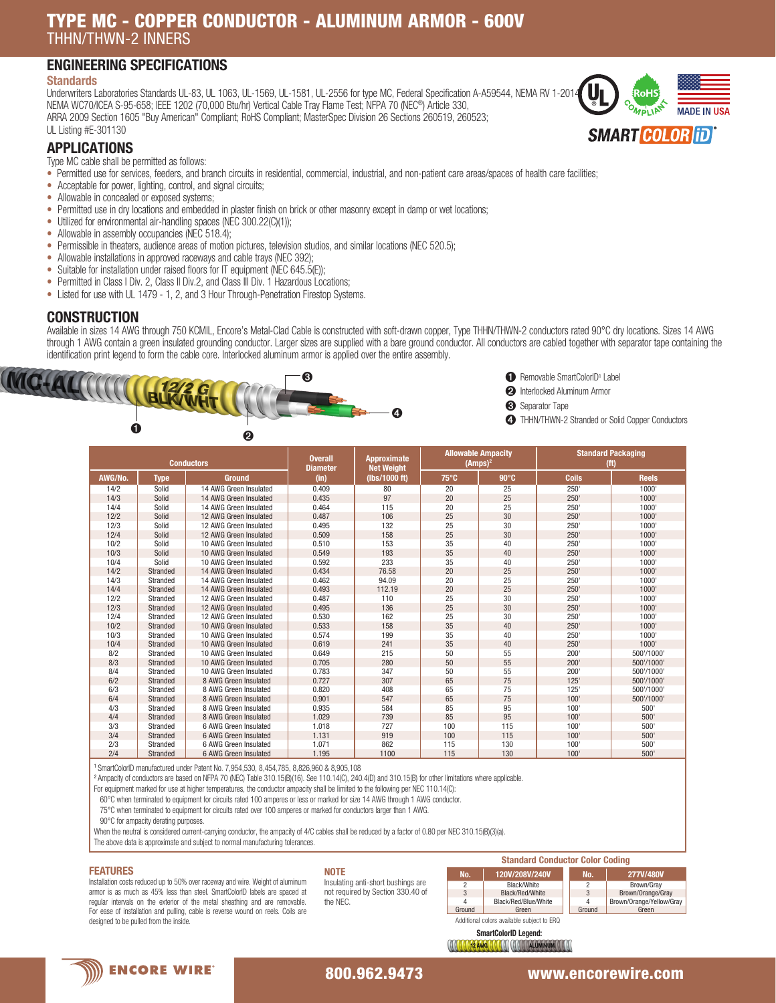# TYPE MC - COPPER CONDUCTOR - ALUMINUM ARMOR - 600V THHN/THWN-2 INNERS

# ENGINEERING SPECIFICATIONS

#### **Standards**

Underwriters Laboratories Standards UL-83, UL 1063, UL-1569, UL-1581, UL-2556 for type MC, Federal Specification A-A59544, NEMA RV 1-2014, NEMA WC70/ICEA S-95-658; IEEE 1202 (70,000 Btu/hr) Vertical Cable Tray Flame Test; NFPA 70 (NEC®) Article 330, ARRA 2009 Section 1605 "Buy American" Compliant; RoHS Compliant; MasterSpec Division 26 Sections 260519, 260523; UL Listing #E-301130



## APPLICATIONS

Type MC cable shall be permitted as follows:

- Permitted use for services, feeders, and branch circuits in residential, commercial, industrial, and non-patient care areas/spaces of health care facilities;
- Acceptable for power, lighting, control, and signal circuits;
- Allowable in concealed or exposed systems;
- Permitted use in dry locations and embedded in plaster finish on brick or other masonry except in damp or wet locations;
- Utilized for environmental air-handling spaces (NEC 300.22(C)(1));
- Allowable in assembly occupancies (NEC 518.4);
- Permissible in theaters, audience areas of motion pictures, television studios, and similar locations (NEC 520.5);
- Allowable installations in approved raceways and cable trays (NEC 392);
- Suitable for installation under raised floors for IT equipment (NEC 645.5(E));
- Permitted in Class I Div. 2, Class II Div.2, and Class III Div. 1 Hazardous Locations;
- Listed for use with UL 1479 1, 2, and 3 Hour Through-Penetration Firestop Systems.

### **CONSTRUCTION**

Available in sizes 14 AWG through 750 KCMIL, Encore's Metal-Clad Cable is constructed with soft-drawn copper, Type THHN/THWN-2 conductors rated 90°C dry locations. Sizes 14 AWG through 1 AWG contain a green insulated grounding conductor. Larger sizes are supplied with a bare ground conductor. All conductors are cabled together with separator tape containing the identification print legend to form the cable core. Interlocked aluminum armor is applied over the entire assembly.





➌ Separator Tape

|         |             | <b>Conductors</b>      | <b>Overall</b><br><b>Diameter</b> | <b>Approximate</b><br><b>Net Weight</b> | <b>Allowable Ampacity</b><br>$(Amps)^2$ |              | <b>Standard Packaging</b><br>(f <sup>t</sup> ) |              |
|---------|-------------|------------------------|-----------------------------------|-----------------------------------------|-----------------------------------------|--------------|------------------------------------------------|--------------|
| AWG/No. | <b>Type</b> | <b>Ground</b>          | (in)                              | (lbs/1000 ft)                           | $75^{\circ}$ C                          | $90^\circ C$ | <b>Coils</b>                                   | <b>Reels</b> |
| 14/2    | Solid       | 14 AWG Green Insulated | 0.409                             | 80                                      | 20                                      | 25           | 250'                                           | 1000         |
| 14/3    | Solid       | 14 AWG Green Insulated | 0.435                             | 97                                      | 20                                      | 25           | 250'                                           | 1000         |
| 14/4    | Solid       | 14 AWG Green Insulated | 0.464                             | 115                                     | 20                                      | 25           | 250                                            | 1000         |
| 12/2    | Solid       | 12 AWG Green Insulated | 0.487                             | 106                                     | 25                                      | 30           | 250'                                           | 1000         |
| 12/3    | Solid       | 12 AWG Green Insulated | 0.495                             | 132                                     | 25                                      | 30           | 250'                                           | 1000         |
| 12/4    | Solid       | 12 AWG Green Insulated | 0.509                             | 158                                     | 25                                      | 30           | 250'                                           | 1000         |
| 10/2    | Solid       | 10 AWG Green Insulated | 0.510                             | 153                                     | 35                                      | 40           | 250                                            | 1000         |
| 10/3    | Solid       | 10 AWG Green Insulated | 0.549                             | 193                                     | 35                                      | 40           | 250'                                           | 1000         |
| 10/4    | Solid       | 10 AWG Green Insulated | 0.592                             | 233                                     | 35                                      | 40           | 250'                                           | 1000         |
| 14/2    | Stranded    | 14 AWG Green Insulated | 0.434                             | 76.58                                   | 20                                      | 25           | 250'                                           | 1000'        |
| 14/3    | Stranded    | 14 AWG Green Insulated | 0.462                             | 94.09                                   | 20                                      | 25           | 250                                            | 1000         |
| 14/4    | Stranded    | 14 AWG Green Insulated | 0.493                             | 112.19                                  | 20                                      | 25           | 250'                                           | 1000         |
| 12/2    | Stranded    | 12 AWG Green Insulated | 0.487                             | 110                                     | 25                                      | 30           | 250'                                           | 1000         |
| 12/3    | Stranded    | 12 AWG Green Insulated | 0.495                             | 136                                     | 25                                      | 30           | 250'                                           | 1000         |
| 12/4    | Stranded    | 12 AWG Green Insulated | 0.530                             | 162                                     | 25                                      | 30           | 250'                                           | 1000         |
| 10/2    | Stranded    | 10 AWG Green Insulated | 0.533                             | 158                                     | 35                                      | 40           | 250'                                           | 1000         |
| 10/3    | Stranded    | 10 AWG Green Insulated | 0.574                             | 199                                     | 35                                      | 40           | 250                                            | 1000         |
| 10/4    | Stranded    | 10 AWG Green Insulated | 0.619                             | 241                                     | 35                                      | 40           | 250'                                           | 1000         |
| 8/2     | Stranded    | 10 AWG Green Insulated | 0.649                             | 215                                     | 50                                      | 55           | 200'                                           | 500'/1000'   |
| 8/3     | Stranded    | 10 AWG Green Insulated | 0.705                             | 280                                     | 50                                      | 55           | 200'                                           | 500'/1000'   |
| 8/4     | Stranded    | 10 AWG Green Insulated | 0.783                             | 347                                     | 50                                      | 55           | 200'                                           | 500'/1000'   |
| 6/2     | Stranded    | 8 AWG Green Insulated  | 0.727                             | 307                                     | 65                                      | 75           | 125'                                           | 500'/1000'   |
| 6/3     | Stranded    | 8 AWG Green Insulated  | 0.820                             | 408                                     | 65                                      | 75           | 125'                                           | 500'/1000'   |
| 6/4     | Stranded    | 8 AWG Green Insulated  | 0.901                             | 547                                     | 65                                      | 75           | 100'                                           | 500'/1000'   |
| 4/3     | Stranded    | 8 AWG Green Insulated  | 0.935                             | 584                                     | 85                                      | 95           | 100'                                           | 500'         |
| 4/4     | Stranded    | 8 AWG Green Insulated  | 1.029                             | 739                                     | 85                                      | 95           | 100'                                           | 500'         |
| 3/3     | Stranded    | 6 AWG Green Insulated  | 1.018                             | 727                                     | 100                                     | 115          | 100'                                           | 500'         |
| 3/4     | Stranded    | 6 AWG Green Insulated  | 1.131                             | 919                                     | 100                                     | 115          | 100'                                           | 500'         |
| 2/3     | Stranded    | 6 AWG Green Insulated  | 1.071                             | 862                                     | 115                                     | 130          | 100'                                           | 500          |
| 2/4     | Stranded    | 6 AWG Green Insulated  | 1.195                             | 1100                                    | 115                                     | 130          | 100'                                           | 500'         |

<sup>1</sup>SmartColorID manufactured under Patent No. 7,954,530, 8,454,785, 8,826,960 & 8,905,108

<sup>2</sup> Ampacity of conductors are based on NFPA 70 (NEC) Table 310.15(B)(16). See 110.14(C), 240.4(D) and 310.15(B) for other limitations where applicable

For equipment marked for use at higher temperatures, the conductor ampacity shall be limited to the following per NEC 110.14(C):

60°C when terminated to equipment for circuits rated 100 amperes or less or marked for size 14 AWG through 1 AWG conductor.

75°C when terminated to equipment for circuits rated over 100 amperes or marked for conductors larger than 1 AWG.

90°C for ampacity derating purposes.

When the neutral is considered current-carrying conductor, the ampacity of 4/C cables shall be reduced by a factor of 0.80 per NEC 310.15(B)(3)(a).

The above data is approximate and subject to normal manufacturing tolerances.

#### FEATURES

Installation costs reduced up to 50% over raceway and wire. Weight of aluminum armor is as much as 45% less than steel. SmartColorID labels are spaced at regular intervals on the exterior of the metal sheathing and are removable. For ease of installation and pulling, cable is reverse wound on reels. Coils are designed to be pulled from the inside. The inside of the inside of the inside of the inside subject to ERQ and the inside subject to ERQ

#### **NOTE** Insulating anti-short bushings are

not required by Section 330.40 of the NEC.



SmartColorID Legend: WWW. W. AWG WWW. WWW. ALUMINUM



## 800.962.9473 www.encorewire.com